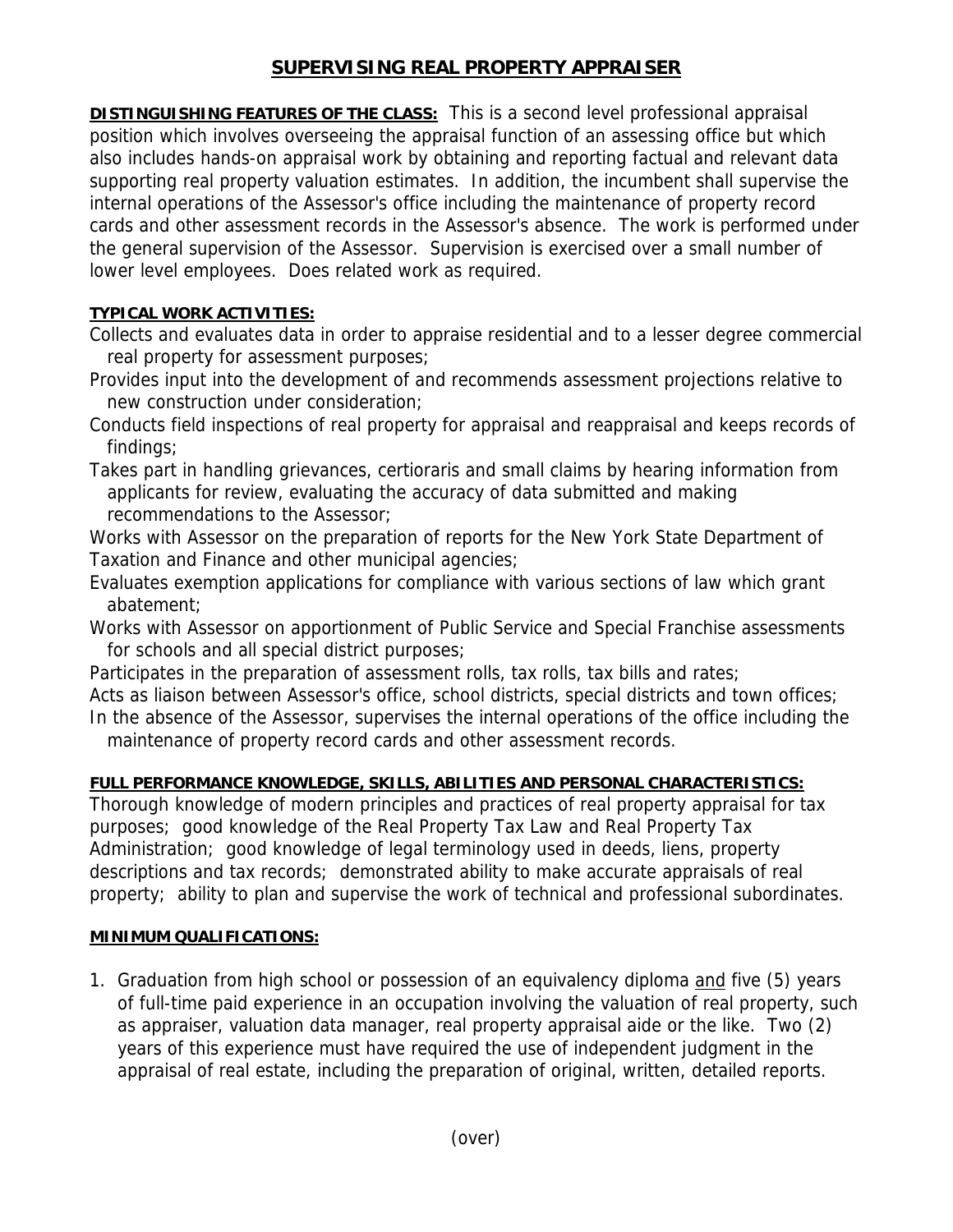# **SUPERVISING REAL PROPERTY APPRAISER**

**DISTINGUISHING FEATURES OF THE CLASS:** This is a second level professional appraisal position which involves overseeing the appraisal function of an assessing office but which also includes hands-on appraisal work by obtaining and reporting factual and relevant data supporting real property valuation estimates. In addition, the incumbent shall supervise the internal operations of the Assessor's office including the maintenance of property record cards and other assessment records in the Assessor's absence. The work is performed under the general supervision of the Assessor. Supervision is exercised over a small number of lower level employees. Does related work as required.

### **TYPICAL WORK ACTIVITIES:**

Collects and evaluates data in order to appraise residential and to a lesser degree commercial real property for assessment purposes;

- Provides input into the development of and recommends assessment projections relative to new construction under consideration;
- Conducts field inspections of real property for appraisal and reappraisal and keeps records of findings;
- Takes part in handling grievances, certioraris and small claims by hearing information from applicants for review, evaluating the accuracy of data submitted and making recommendations to the Assessor;

Works with Assessor on the preparation of reports for the New York State Department of Taxation and Finance and other municipal agencies;

- Evaluates exemption applications for compliance with various sections of law which grant abatement;
- Works with Assessor on apportionment of Public Service and Special Franchise assessments for schools and all special district purposes;
- Participates in the preparation of assessment rolls, tax rolls, tax bills and rates;

Acts as liaison between Assessor's office, school districts, special districts and town offices; In the absence of the Assessor, supervises the internal operations of the office including the

maintenance of property record cards and other assessment records.

## **FULL PERFORMANCE KNOWLEDGE, SKILLS, ABILITIES AND PERSONAL CHARACTERISTICS:**

Thorough knowledge of modern principles and practices of real property appraisal for tax purposes; good knowledge of the Real Property Tax Law and Real Property Tax Administration; good knowledge of legal terminology used in deeds, liens, property descriptions and tax records; demonstrated ability to make accurate appraisals of real property; ability to plan and supervise the work of technical and professional subordinates.

#### **MINIMUM QUALIFICATIONS:**

1. Graduation from high school or possession of an equivalency diploma and five (5) years of full-time paid experience in an occupation involving the valuation of real property, such as appraiser, valuation data manager, real property appraisal aide or the like. Two (2) years of this experience must have required the use of independent judgment in the appraisal of real estate, including the preparation of original, written, detailed reports.